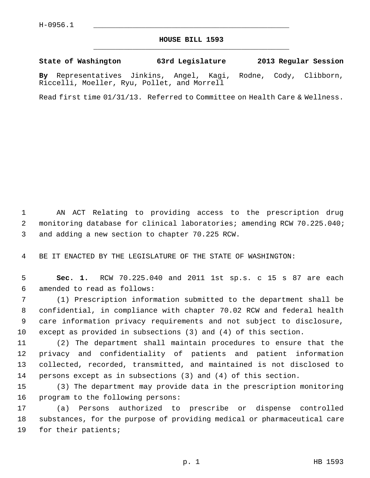## **HOUSE BILL 1593** \_\_\_\_\_\_\_\_\_\_\_\_\_\_\_\_\_\_\_\_\_\_\_\_\_\_\_\_\_\_\_\_\_\_\_\_\_\_\_\_\_\_\_\_\_

**State of Washington 63rd Legislature 2013 Regular Session**

**By** Representatives Jinkins, Angel, Kagi, Rodne, Cody, Clibborn, Riccelli, Moeller, Ryu, Pollet, and Morrell

Read first time 01/31/13. Referred to Committee on Health Care & Wellness.

 1 AN ACT Relating to providing access to the prescription drug 2 monitoring database for clinical laboratories; amending RCW 70.225.040; 3 and adding a new section to chapter 70.225 RCW.

4 BE IT ENACTED BY THE LEGISLATURE OF THE STATE OF WASHINGTON:

 5 **Sec. 1.** RCW 70.225.040 and 2011 1st sp.s. c 15 s 87 are each 6 amended to read as follows:

 7 (1) Prescription information submitted to the department shall be 8 confidential, in compliance with chapter 70.02 RCW and federal health 9 care information privacy requirements and not subject to disclosure, 10 except as provided in subsections (3) and (4) of this section.

11 (2) The department shall maintain procedures to ensure that the 12 privacy and confidentiality of patients and patient information 13 collected, recorded, transmitted, and maintained is not disclosed to 14 persons except as in subsections (3) and (4) of this section.

15 (3) The department may provide data in the prescription monitoring 16 program to the following persons:

17 (a) Persons authorized to prescribe or dispense controlled 18 substances, for the purpose of providing medical or pharmaceutical care 19 for their patients;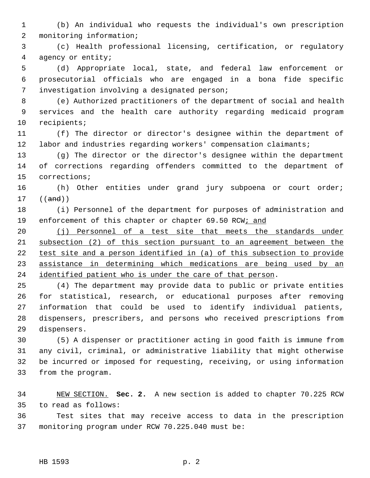1 (b) An individual who requests the individual's own prescription 2 monitoring information;

 3 (c) Health professional licensing, certification, or regulatory 4 agency or entity;

 5 (d) Appropriate local, state, and federal law enforcement or 6 prosecutorial officials who are engaged in a bona fide specific 7 investigation involving a designated person;

 8 (e) Authorized practitioners of the department of social and health 9 services and the health care authority regarding medicaid program 10 recipients;

11 (f) The director or director's designee within the department of 12 labor and industries regarding workers' compensation claimants;

13 (g) The director or the director's designee within the department 14 of corrections regarding offenders committed to the department of 15 corrections;

16 (h) Other entities under grand jury subpoena or court order; 17 ((and))

18 (i) Personnel of the department for purposes of administration and 19 enforcement of this chapter or chapter 69.50 RCW; and

20 (j) Personnel of a test site that meets the standards under subsection (2) of this section pursuant to an agreement between the test site and a person identified in (a) of this subsection to provide assistance in determining which medications are being used by an identified patient who is under the care of that person.

25 (4) The department may provide data to public or private entities 26 for statistical, research, or educational purposes after removing 27 information that could be used to identify individual patients, 28 dispensers, prescribers, and persons who received prescriptions from 29 dispensers.

30 (5) A dispenser or practitioner acting in good faith is immune from 31 any civil, criminal, or administrative liability that might otherwise 32 be incurred or imposed for requesting, receiving, or using information 33 from the program.

34 NEW SECTION. **Sec. 2.** A new section is added to chapter 70.225 RCW 35 to read as follows:

36 Test sites that may receive access to data in the prescription 37 monitoring program under RCW 70.225.040 must be: